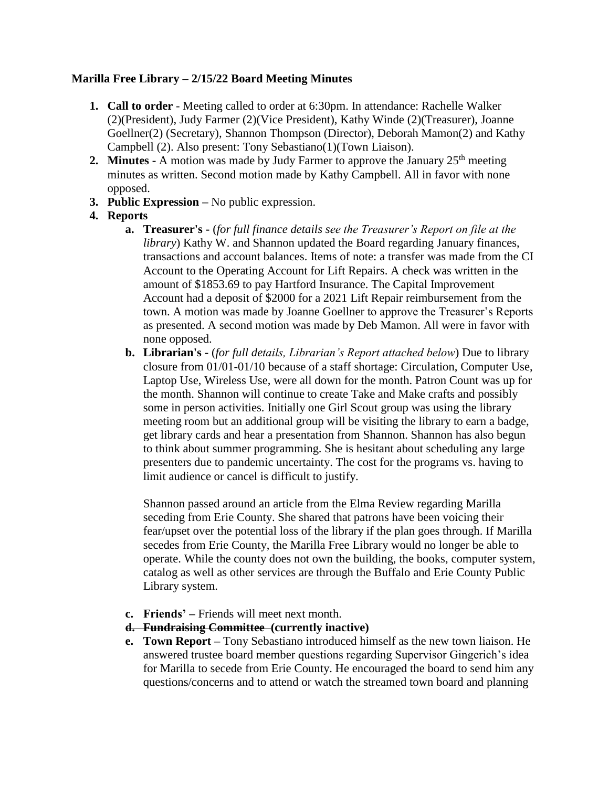### **Marilla Free Library – 2/15/22 Board Meeting Minutes**

- **1. Call to order** Meeting called to order at 6:30pm. In attendance: Rachelle Walker (2)(President), Judy Farmer (2)(Vice President), Kathy Winde (2)(Treasurer), Joanne Goellner(2) (Secretary), Shannon Thompson (Director), Deborah Mamon(2) and Kathy Campbell (2). Also present: Tony Sebastiano(1)(Town Liaison).
- **2. Minutes -** A motion was made by Judy Farmer to approve the January  $25<sup>th</sup>$  meeting minutes as written. Second motion made by Kathy Campbell. All in favor with none opposed.
- **3. Public Expression –** No public expression.
- **4. Reports**
	- **a. Treasurer's -** (*for full finance details see the Treasurer's Report on file at the library*) Kathy W. and Shannon updated the Board regarding January finances, transactions and account balances. Items of note: a transfer was made from the CI Account to the Operating Account for Lift Repairs. A check was written in the amount of \$1853.69 to pay Hartford Insurance. The Capital Improvement Account had a deposit of \$2000 for a 2021 Lift Repair reimbursement from the town. A motion was made by Joanne Goellner to approve the Treasurer's Reports as presented. A second motion was made by Deb Mamon. All were in favor with none opposed.
	- **b. Librarian's -** (*for full details, Librarian's Report attached below*) Due to library closure from 01/01-01/10 because of a staff shortage: Circulation, Computer Use, Laptop Use, Wireless Use, were all down for the month. Patron Count was up for the month. Shannon will continue to create Take and Make crafts and possibly some in person activities. Initially one Girl Scout group was using the library meeting room but an additional group will be visiting the library to earn a badge, get library cards and hear a presentation from Shannon. Shannon has also begun to think about summer programming. She is hesitant about scheduling any large presenters due to pandemic uncertainty. The cost for the programs vs. having to limit audience or cancel is difficult to justify.

Shannon passed around an article from the Elma Review regarding Marilla seceding from Erie County. She shared that patrons have been voicing their fear/upset over the potential loss of the library if the plan goes through. If Marilla secedes from Erie County, the Marilla Free Library would no longer be able to operate. While the county does not own the building, the books, computer system, catalog as well as other services are through the Buffalo and Erie County Public Library system.

- **c. Friends' –** Friends will meet next month.
- **d. Fundraising Committee (currently inactive)**
- **e. Town Report –** Tony Sebastiano introduced himself as the new town liaison. He answered trustee board member questions regarding Supervisor Gingerich's idea for Marilla to secede from Erie County. He encouraged the board to send him any questions/concerns and to attend or watch the streamed town board and planning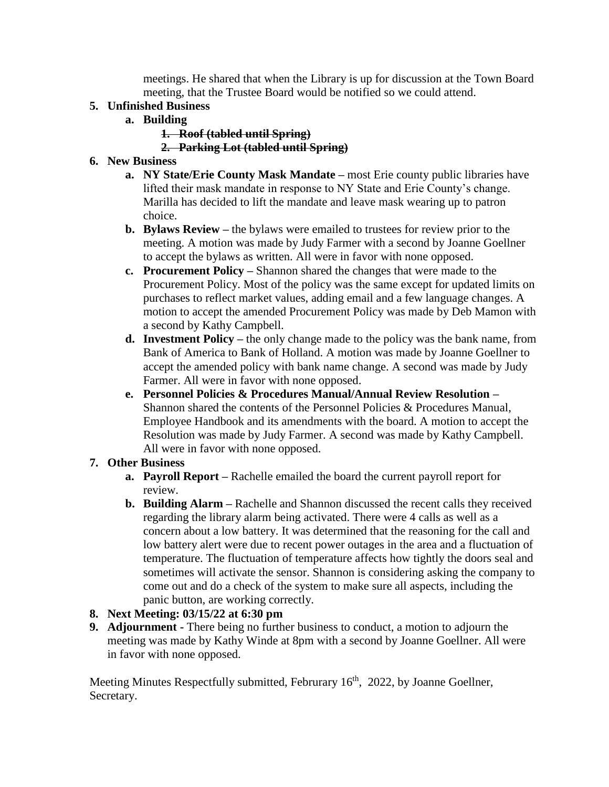meetings. He shared that when the Library is up for discussion at the Town Board meeting, that the Trustee Board would be notified so we could attend.

### **5. Unfinished Business**

- **a. Building** 
	- **1. Roof (tabled until Spring)**

## **2. Parking Lot (tabled until Spring)**

## **6. New Business**

- **a. NY State/Erie County Mask Mandate –** most Erie county public libraries have lifted their mask mandate in response to NY State and Erie County's change. Marilla has decided to lift the mandate and leave mask wearing up to patron choice.
- **b. Bylaws Review –** the bylaws were emailed to trustees for review prior to the meeting. A motion was made by Judy Farmer with a second by Joanne Goellner to accept the bylaws as written. All were in favor with none opposed.
- **c. Procurement Policy –** Shannon shared the changes that were made to the Procurement Policy. Most of the policy was the same except for updated limits on purchases to reflect market values, adding email and a few language changes. A motion to accept the amended Procurement Policy was made by Deb Mamon with a second by Kathy Campbell.
- **d. Investment Policy –** the only change made to the policy was the bank name, from Bank of America to Bank of Holland. A motion was made by Joanne Goellner to accept the amended policy with bank name change. A second was made by Judy Farmer. All were in favor with none opposed.
- **e. Personnel Policies & Procedures Manual/Annual Review Resolution –** Shannon shared the contents of the Personnel Policies & Procedures Manual, Employee Handbook and its amendments with the board. A motion to accept the Resolution was made by Judy Farmer. A second was made by Kathy Campbell. All were in favor with none opposed.

# **7. Other Business**

- **a. Payroll Report –** Rachelle emailed the board the current payroll report for review.
- **b. Building Alarm –** Rachelle and Shannon discussed the recent calls they received regarding the library alarm being activated. There were 4 calls as well as a concern about a low battery. It was determined that the reasoning for the call and low battery alert were due to recent power outages in the area and a fluctuation of temperature. The fluctuation of temperature affects how tightly the doors seal and sometimes will activate the sensor. Shannon is considering asking the company to come out and do a check of the system to make sure all aspects, including the panic button, are working correctly.

## **8. Next Meeting: 03/15/22 at 6:30 pm**

**9. Adjournment -** There being no further business to conduct, a motion to adjourn the meeting was made by Kathy Winde at 8pm with a second by Joanne Goellner. All were in favor with none opposed.

Meeting Minutes Respectfully submitted, Februrary 16<sup>th</sup>, 2022, by Joanne Goellner, Secretary.